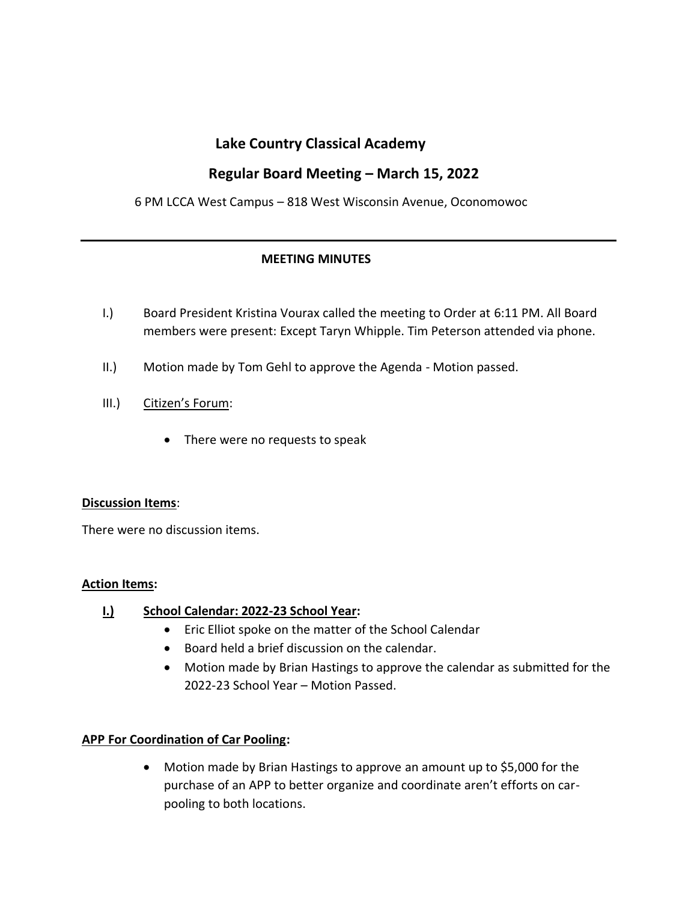## **Lake Country Classical Academy**

# **Regular Board Meeting – March 15, 2022**

6 PM LCCA West Campus – 818 West Wisconsin Avenue, Oconomowoc

## **MEETING MINUTES**

- I.) Board President Kristina Vourax called the meeting to Order at 6:11 PM. All Board members were present: Except Taryn Whipple. Tim Peterson attended via phone.
- II.) Motion made by Tom Gehl to approve the Agenda Motion passed.
- III.) Citizen's Forum:
	- There were no requests to speak

#### **Discussion Items**:

There were no discussion items.

#### **Action Items:**

#### **I.) School Calendar: 2022-23 School Year:**

- Eric Elliot spoke on the matter of the School Calendar
- Board held a brief discussion on the calendar.
- Motion made by Brian Hastings to approve the calendar as submitted for the 2022-23 School Year – Motion Passed.

#### **APP For Coordination of Car Pooling:**

• Motion made by Brian Hastings to approve an amount up to \$5,000 for the purchase of an APP to better organize and coordinate aren't efforts on carpooling to both locations.